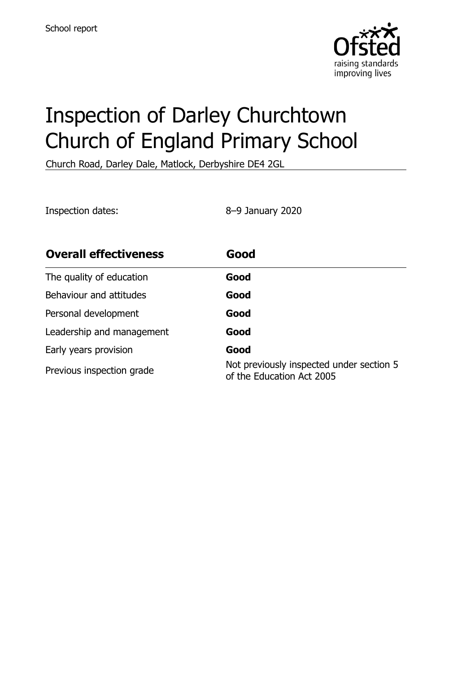

# Inspection of Darley Churchtown Church of England Primary School

Church Road, Darley Dale, Matlock, Derbyshire DE4 2GL

Inspection dates: 8–9 January 2020

| <b>Overall effectiveness</b> | Good                                                                  |
|------------------------------|-----------------------------------------------------------------------|
| The quality of education     | Good                                                                  |
| Behaviour and attitudes      | Good                                                                  |
| Personal development         | Good                                                                  |
| Leadership and management    | Good                                                                  |
| Early years provision        | Good                                                                  |
| Previous inspection grade    | Not previously inspected under section 5<br>of the Education Act 2005 |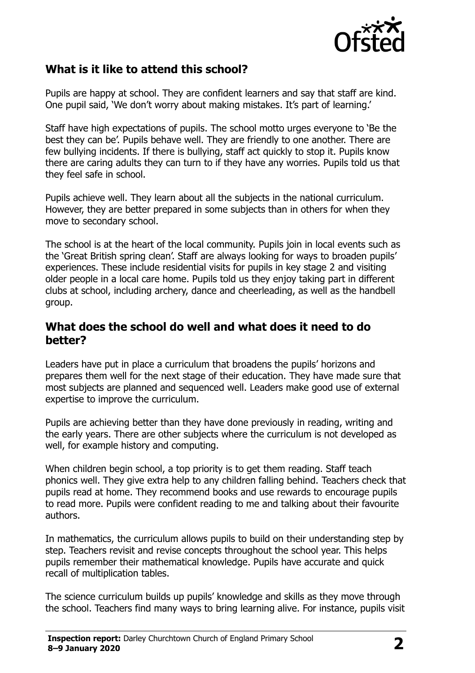

## **What is it like to attend this school?**

Pupils are happy at school. They are confident learners and say that staff are kind. One pupil said, 'We don't worry about making mistakes. It's part of learning.'

Staff have high expectations of pupils. The school motto urges everyone to 'Be the best they can be'. Pupils behave well. They are friendly to one another. There are few bullying incidents. If there is bullying, staff act quickly to stop it. Pupils know there are caring adults they can turn to if they have any worries. Pupils told us that they feel safe in school.

Pupils achieve well. They learn about all the subjects in the national curriculum. However, they are better prepared in some subjects than in others for when they move to secondary school.

The school is at the heart of the local community. Pupils join in local events such as the 'Great British spring clean'. Staff are always looking for ways to broaden pupils' experiences. These include residential visits for pupils in key stage 2 and visiting older people in a local care home. Pupils told us they enjoy taking part in different clubs at school, including archery, dance and cheerleading, as well as the handbell group.

#### **What does the school do well and what does it need to do better?**

Leaders have put in place a curriculum that broadens the pupils' horizons and prepares them well for the next stage of their education. They have made sure that most subjects are planned and sequenced well. Leaders make good use of external expertise to improve the curriculum.

Pupils are achieving better than they have done previously in reading, writing and the early years. There are other subjects where the curriculum is not developed as well, for example history and computing.

When children begin school, a top priority is to get them reading. Staff teach phonics well. They give extra help to any children falling behind. Teachers check that pupils read at home. They recommend books and use rewards to encourage pupils to read more. Pupils were confident reading to me and talking about their favourite authors.

In mathematics, the curriculum allows pupils to build on their understanding step by step. Teachers revisit and revise concepts throughout the school year. This helps pupils remember their mathematical knowledge. Pupils have accurate and quick recall of multiplication tables.

The science curriculum builds up pupils' knowledge and skills as they move through the school. Teachers find many ways to bring learning alive. For instance, pupils visit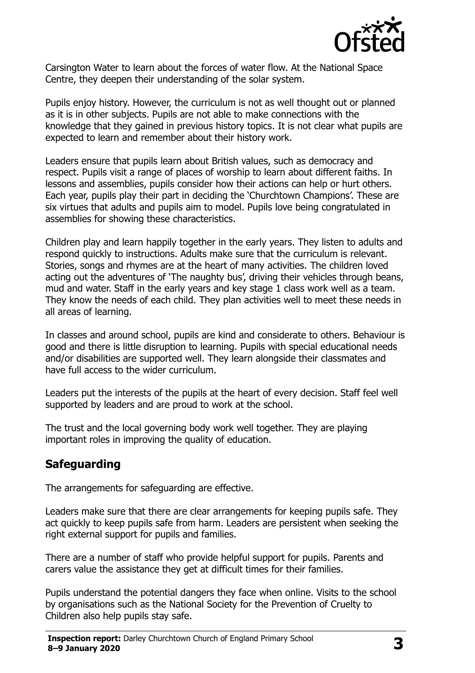

Carsington Water to learn about the forces of water flow. At the National Space Centre, they deepen their understanding of the solar system.

Pupils enjoy history. However, the curriculum is not as well thought out or planned as it is in other subjects. Pupils are not able to make connections with the knowledge that they gained in previous history topics. It is not clear what pupils are expected to learn and remember about their history work.

Leaders ensure that pupils learn about British values, such as democracy and respect. Pupils visit a range of places of worship to learn about different faiths. In lessons and assemblies, pupils consider how their actions can help or hurt others. Each year, pupils play their part in deciding the 'Churchtown Champions'. These are six virtues that adults and pupils aim to model. Pupils love being congratulated in assemblies for showing these characteristics.

Children play and learn happily together in the early years. They listen to adults and respond quickly to instructions. Adults make sure that the curriculum is relevant. Stories, songs and rhymes are at the heart of many activities. The children loved acting out the adventures of 'The naughty bus', driving their vehicles through beans, mud and water. Staff in the early years and key stage 1 class work well as a team. They know the needs of each child. They plan activities well to meet these needs in all areas of learning.

In classes and around school, pupils are kind and considerate to others. Behaviour is good and there is little disruption to learning. Pupils with special educational needs and/or disabilities are supported well. They learn alongside their classmates and have full access to the wider curriculum.

Leaders put the interests of the pupils at the heart of every decision. Staff feel well supported by leaders and are proud to work at the school.

The trust and the local governing body work well together. They are playing important roles in improving the quality of education.

## **Safeguarding**

The arrangements for safeguarding are effective.

Leaders make sure that there are clear arrangements for keeping pupils safe. They act quickly to keep pupils safe from harm. Leaders are persistent when seeking the right external support for pupils and families.

There are a number of staff who provide helpful support for pupils. Parents and carers value the assistance they get at difficult times for their families.

Pupils understand the potential dangers they face when online. Visits to the school by organisations such as the National Society for the Prevention of Cruelty to Children also help pupils stay safe.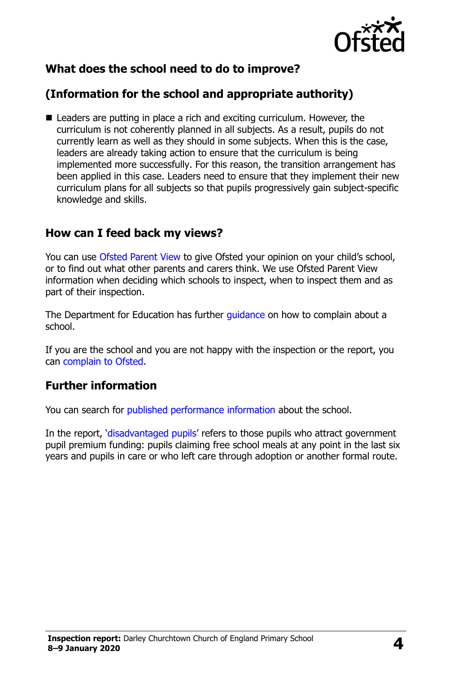

## **What does the school need to do to improve?**

## **(Information for the school and appropriate authority)**

■ Leaders are putting in place a rich and exciting curriculum. However, the curriculum is not coherently planned in all subjects. As a result, pupils do not currently learn as well as they should in some subjects. When this is the case, leaders are already taking action to ensure that the curriculum is being implemented more successfully. For this reason, the transition arrangement has been applied in this case. Leaders need to ensure that they implement their new curriculum plans for all subjects so that pupils progressively gain subject-specific knowledge and skills.

### **How can I feed back my views?**

You can use [Ofsted Parent View](http://parentview.ofsted.gov.uk/) to give Ofsted your opinion on your child's school, or to find out what other parents and carers think. We use Ofsted Parent View information when deciding which schools to inspect, when to inspect them and as part of their inspection.

The Department for Education has further *guidance* on how to complain about a school.

If you are the school and you are not happy with the inspection or the report, you can [complain to Ofsted.](http://www.gov.uk/complain-ofsted-report)

### **Further information**

You can search for [published performance information](http://www.compare-school-performance.service.gov.uk/) about the school.

In the report, '[disadvantaged pupils](http://www.gov.uk/guidance/pupil-premium-information-for-schools-and-alternative-provision-settings)' refers to those pupils who attract government pupil premium funding: pupils claiming free school meals at any point in the last six years and pupils in care or who left care through adoption or another formal route.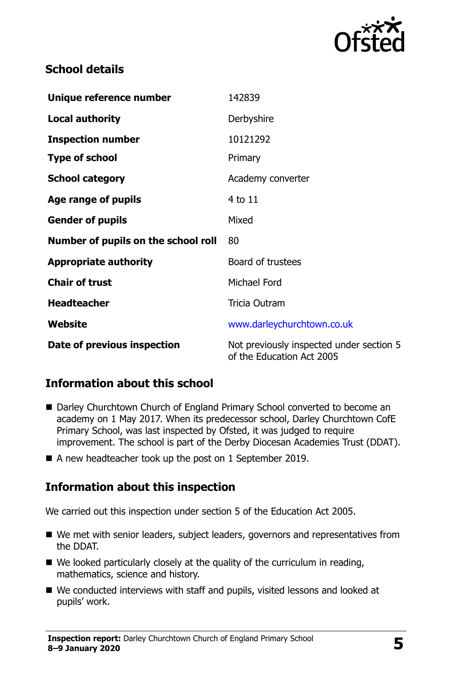

## **School details**

| Unique reference number             | 142839                                                                |
|-------------------------------------|-----------------------------------------------------------------------|
| <b>Local authority</b>              | Derbyshire                                                            |
| <b>Inspection number</b>            | 10121292                                                              |
| <b>Type of school</b>               | Primary                                                               |
| <b>School category</b>              | Academy converter                                                     |
| Age range of pupils                 | 4 to 11                                                               |
| <b>Gender of pupils</b>             | Mixed                                                                 |
| Number of pupils on the school roll | 80                                                                    |
| <b>Appropriate authority</b>        | Board of trustees                                                     |
| <b>Chair of trust</b>               | Michael Ford                                                          |
| <b>Headteacher</b>                  | Tricia Outram                                                         |
| Website                             | www.darleychurchtown.co.uk                                            |
| Date of previous inspection         | Not previously inspected under section 5<br>of the Education Act 2005 |

## **Information about this school**

- Darley Churchtown Church of England Primary School converted to become an academy on 1 May 2017. When its predecessor school, Darley Churchtown CofE Primary School, was last inspected by Ofsted, it was judged to require improvement. The school is part of the Derby Diocesan Academies Trust (DDAT).
- A new headteacher took up the post on 1 September 2019.

### **Information about this inspection**

We carried out this inspection under section 5 of the Education Act 2005.

- We met with senior leaders, subject leaders, governors and representatives from the DDAT.
- We looked particularly closely at the quality of the curriculum in reading, mathematics, science and history.
- We conducted interviews with staff and pupils, visited lessons and looked at pupils' work.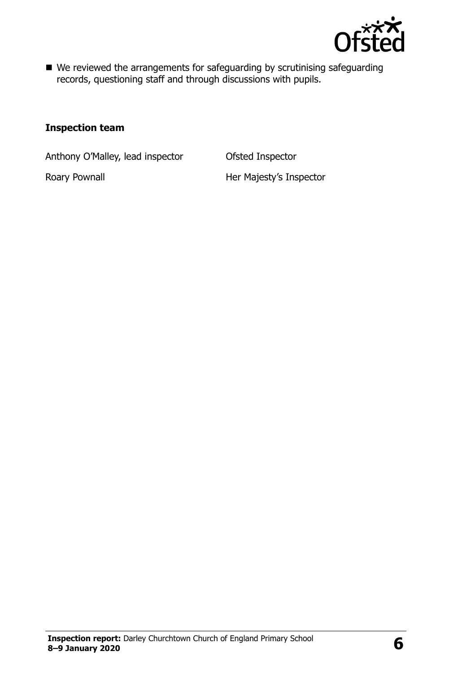

■ We reviewed the arrangements for safeguarding by scrutinising safeguarding records, questioning staff and through discussions with pupils.

#### **Inspection team**

Anthony O'Malley, lead inspector Ofsted Inspector

Roary Pownall **Roary Pownall Her Majesty's Inspector**